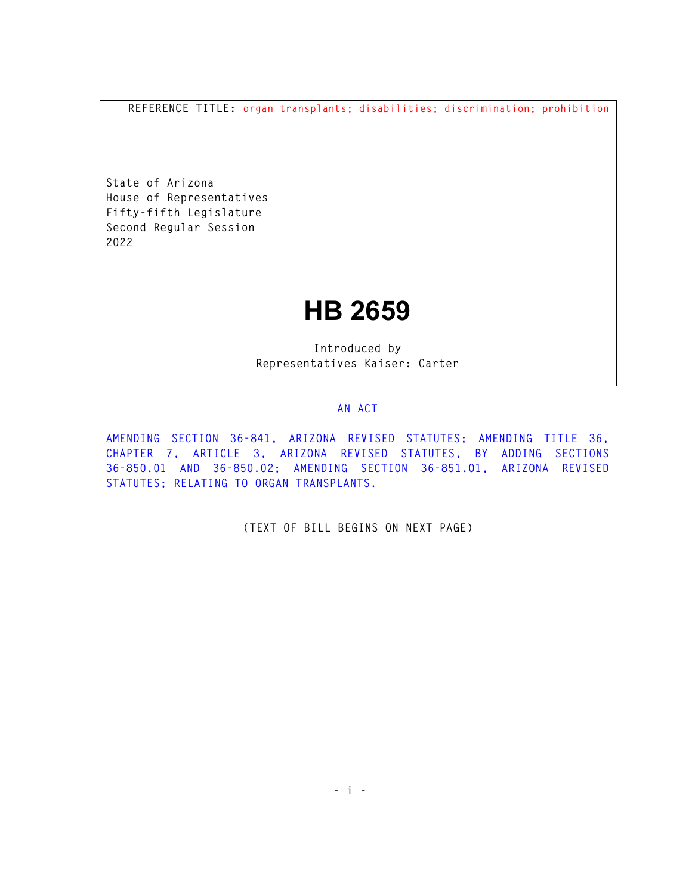**REFERENCE TITLE: organ transplants; disabilities; discrimination; prohibition**

**State of Arizona House of Representatives Fifty-fifth Legislature Second Regular Session 2022** 

## **HB 2659**

**Introduced by Representatives Kaiser: Carter** 

## **AN ACT**

**AMENDING SECTION 36-841, ARIZONA REVISED STATUTES; AMENDING TITLE 36, CHAPTER 7, ARTICLE 3, ARIZONA REVISED STATUTES, BY ADDING SECTIONS 36-850.01 AND 36-850.02; AMENDING SECTION 36-851.01, ARIZONA REVISED STATUTES; RELATING TO ORGAN TRANSPLANTS.** 

**(TEXT OF BILL BEGINS ON NEXT PAGE)**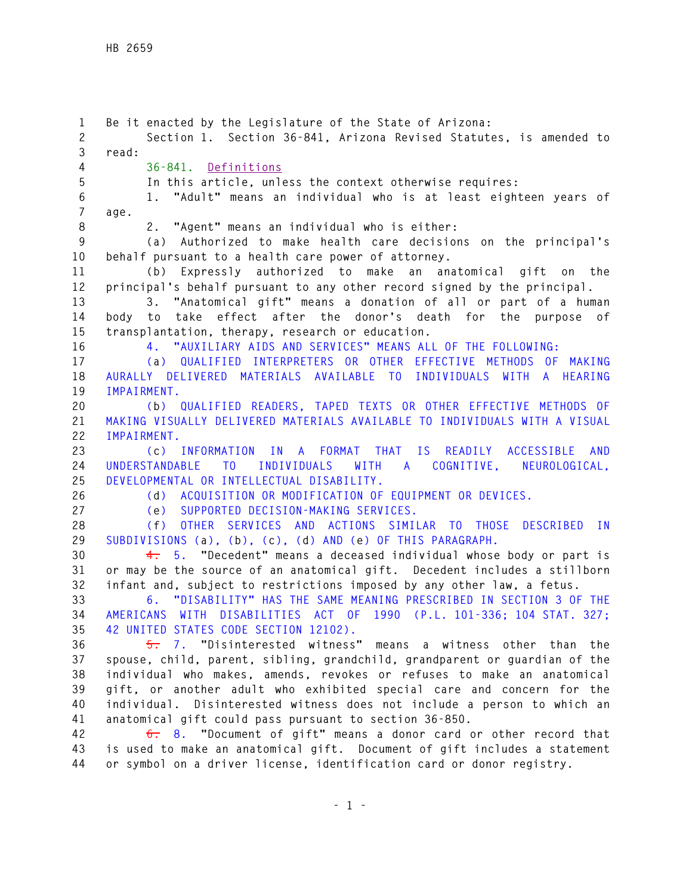**1 Be it enacted by the Legislature of the State of Arizona: 2 Section 1. Section 36-841, Arizona Revised Statutes, is amended to 3 read: 4 36-841. Definitions 5 In this article, unless the context otherwise requires: 6 1. "Adult" means an individual who is at least eighteen years of 7 age. 8 2. "Agent" means an individual who is either: 9 (a) Authorized to make health care decisions on the principal's 10 behalf pursuant to a health care power of attorney. 11 (b) Expressly authorized to make an anatomical gift on the 12 principal's behalf pursuant to any other record signed by the principal. 13 3. "Anatomical gift" means a donation of all or part of a human 14 body to take effect after the donor's death for the purpose of 15 transplantation, therapy, research or education. 16 4. "AUXILIARY AIDS AND SERVICES" MEANS ALL OF THE FOLLOWING: 17 (a) QUALIFIED INTERPRETERS OR OTHER EFFECTIVE METHODS OF MAKING 18 AURALLY DELIVERED MATERIALS AVAILABLE TO INDIVIDUALS WITH A HEARING 19 IMPAIRMENT. 20 (b) QUALIFIED READERS, TAPED TEXTS OR OTHER EFFECTIVE METHODS OF 21 MAKING VISUALLY DELIVERED MATERIALS AVAILABLE TO INDIVIDUALS WITH A VISUAL 22 IMPAIRMENT. 23 (c) INFORMATION IN A FORMAT THAT IS READILY ACCESSIBLE AND 24 UNDERSTANDABLE TO INDIVIDUALS WITH A COGNITIVE, NEUROLOGICAL, 25 DEVELOPMENTAL OR INTELLECTUAL DISABILITY. 26 (d) ACQUISITION OR MODIFICATION OF EQUIPMENT OR DEVICES. 27 (e) SUPPORTED DECISION-MAKING SERVICES. 28 (f) OTHER SERVICES AND ACTIONS SIMILAR TO THOSE DESCRIBED IN 29 SUBDIVISIONS (a), (b), (c), (d) AND (e) OF THIS PARAGRAPH. 30 4. 5. "Decedent" means a deceased individual whose body or part is 31 or may be the source of an anatomical gift. Decedent includes a stillborn 32 infant and, subject to restrictions imposed by any other law, a fetus. 33 6. "DISABILITY" HAS THE SAME MEANING PRESCRIBED IN SECTION 3 OF THE 34 AMERICANS WITH DISABILITIES ACT OF 1990 (P.L. 101-336; 104 STAT. 327; 35 42 UNITED STATES CODE SECTION 12102). 36 5. 7. "Disinterested witness" means a witness other than the 37 spouse, child, parent, sibling, grandchild, grandparent or guardian of the 38 individual who makes, amends, revokes or refuses to make an anatomical 39 gift, or another adult who exhibited special care and concern for the 40 individual. Disinterested witness does not include a person to which an 41 anatomical gift could pass pursuant to section 36-850. 42 6. 8. "Document of gift" means a donor card or other record that 43 is used to make an anatomical gift. Document of gift includes a statement** 

**44 or symbol on a driver license, identification card or donor registry.**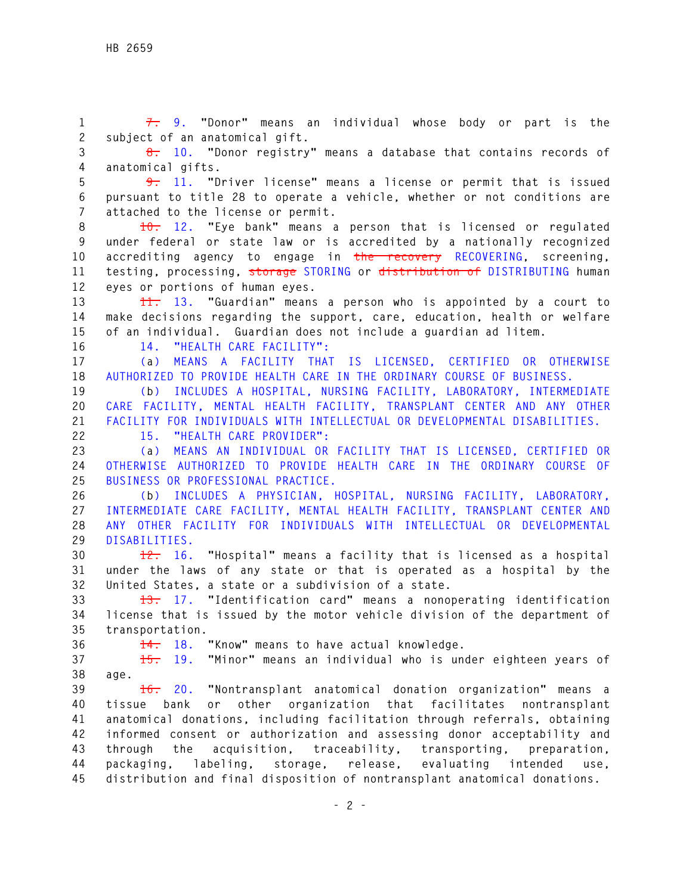**1 7. 9. "Donor" means an individual whose body or part is the 2 subject of an anatomical gift. 3 8. 10. "Donor registry" means a database that contains records of 4 anatomical gifts. 5 9. 11. "Driver license" means a license or permit that is issued 6 pursuant to title 28 to operate a vehicle, whether or not conditions are 7 attached to the license or permit. 8 10. 12. "Eye bank" means a person that is licensed or regulated 9 under federal or state law or is accredited by a nationally recognized 10 accrediting agency to engage in the recovery RECOVERING, screening, 11 testing, processing, storage STORING or distribution of DISTRIBUTING human 12 eyes or portions of human eyes. 13 11. 13. "Guardian" means a person who is appointed by a court to 14 make decisions regarding the support, care, education, health or welfare 15 of an individual. Guardian does not include a guardian ad litem. 16 14. "HEALTH CARE FACILITY": 17 (a) MEANS A FACILITY THAT IS LICENSED, CERTIFIED OR OTHERWISE 18 AUTHORIZED TO PROVIDE HEALTH CARE IN THE ORDINARY COURSE OF BUSINESS. 19 (b) INCLUDES A HOSPITAL, NURSING FACILITY, LABORATORY, INTERMEDIATE 20 CARE FACILITY, MENTAL HEALTH FACILITY, TRANSPLANT CENTER AND ANY OTHER 21 FACILITY FOR INDIVIDUALS WITH INTELLECTUAL OR DEVELOPMENTAL DISABILITIES. 22 15. "HEALTH CARE PROVIDER": 23 (a) MEANS AN INDIVIDUAL OR FACILITY THAT IS LICENSED, CERTIFIED OR 24 OTHERWISE AUTHORIZED TO PROVIDE HEALTH CARE IN THE ORDINARY COURSE OF 25 BUSINESS OR PROFESSIONAL PRACTICE. 26 (b) INCLUDES A PHYSICIAN, HOSPITAL, NURSING FACILITY, LABORATORY, 27 INTERMEDIATE CARE FACILITY, MENTAL HEALTH FACILITY, TRANSPLANT CENTER AND 28 ANY OTHER FACILITY FOR INDIVIDUALS WITH INTELLECTUAL OR DEVELOPMENTAL 29 DISABILITIES. 30 12. 16. "Hospital" means a facility that is licensed as a hospital 31 under the laws of any state or that is operated as a hospital by the 32 United States, a state or a subdivision of a state. 33 13. 17. "Identification card" means a nonoperating identification 34 license that is issued by the motor vehicle division of the department of 35 transportation. 36 14. 18. "Know" means to have actual knowledge. 37 15. 19. "Minor" means an individual who is under eighteen years of 38 age. 39 16. 20. "Nontransplant anatomical donation organization" means a 40 tissue bank or other organization that facilitates nontransplant 41 anatomical donations, including facilitation through referrals, obtaining 42 informed consent or authorization and assessing donor acceptability and 43 through the acquisition, traceability, transporting, preparation, 44 packaging, labeling, storage, release, evaluating intended use, 45 distribution and final disposition of nontransplant anatomical donations.**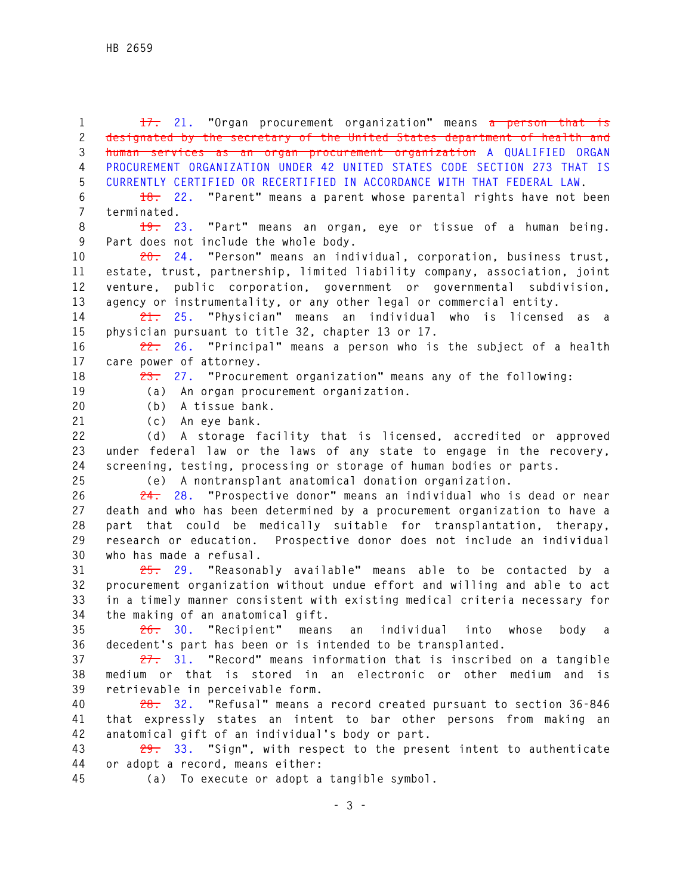**1 17. 21. "Organ procurement organization" means a person that is 2 designated by the secretary of the United States department of health and 3 human services as an organ procurement organization A QUALIFIED ORGAN 4 PROCUREMENT ORGANIZATION UNDER 42 UNITED STATES CODE SECTION 273 THAT IS 5 CURRENTLY CERTIFIED OR RECERTIFIED IN ACCORDANCE WITH THAT FEDERAL LAW. 6 18. 22. "Parent" means a parent whose parental rights have not been 7 terminated. 8 19. 23. "Part" means an organ, eye or tissue of a human being. 9 Part does not include the whole body. 10 20. 24. "Person" means an individual, corporation, business trust, 11 estate, trust, partnership, limited liability company, association, joint 12 venture, public corporation, government or governmental subdivision, 13 agency or instrumentality, or any other legal or commercial entity. 14 21. 25. "Physician" means an individual who is licensed as a 15 physician pursuant to title 32, chapter 13 or 17. 16 22. 26. "Principal" means a person who is the subject of a health 17 care power of attorney. 18 23. 27. "Procurement organization" means any of the following: 19 (a) An organ procurement organization. 20 (b) A tissue bank. 21 (c) An eye bank. 22 (d) A storage facility that is licensed, accredited or approved 23 under federal law or the laws of any state to engage in the recovery, 24 screening, testing, processing or storage of human bodies or parts. 25 (e) A nontransplant anatomical donation organization. 26 24. 28. "Prospective donor" means an individual who is dead or near 27 death and who has been determined by a procurement organization to have a 28 part that could be medically suitable for transplantation, therapy, 29 research or education. Prospective donor does not include an individual 30 who has made a refusal. 31 25. 29. "Reasonably available" means able to be contacted by a 32 procurement organization without undue effort and willing and able to act 33 in a timely manner consistent with existing medical criteria necessary for 34 the making of an anatomical gift. 35 26. 30. "Recipient" means an individual into whose body a 36 decedent's part has been or is intended to be transplanted. 37 27. 31. "Record" means information that is inscribed on a tangible 38 medium or that is stored in an electronic or other medium and is 39 retrievable in perceivable form. 40 28. 32. "Refusal" means a record created pursuant to section 36-846 41 that expressly states an intent to bar other persons from making an 42 anatomical gift of an individual's body or part. 43 29. 33. "Sign", with respect to the present intent to authenticate 44 or adopt a record, means either: 45 (a) To execute or adopt a tangible symbol.**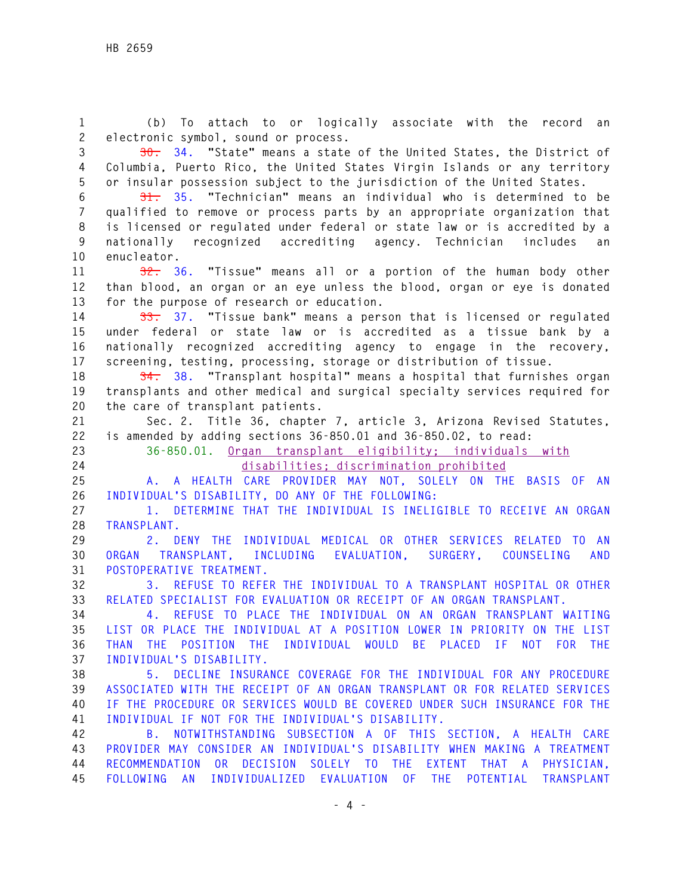**1 (b) To attach to or logically associate with the record an 2 electronic symbol, sound or process.** 

**3 30. 34. "State" means a state of the United States, the District of 4 Columbia, Puerto Rico, the United States Virgin Islands or any territory 5 or insular possession subject to the jurisdiction of the United States.** 

**6 31. 35. "Technician" means an individual who is determined to be 7 qualified to remove or process parts by an appropriate organization that 8 is licensed or regulated under federal or state law or is accredited by a 9 nationally recognized accrediting agency. Technician includes an 10 enucleator.** 

**11 32. 36. "Tissue" means all or a portion of the human body other 12 than blood, an organ or an eye unless the blood, organ or eye is donated 13 for the purpose of research or education.** 

**14 33. 37. "Tissue bank" means a person that is licensed or regulated 15 under federal or state law or is accredited as a tissue bank by a 16 nationally recognized accrediting agency to engage in the recovery, 17 screening, testing, processing, storage or distribution of tissue.** 

**18 34. 38. "Transplant hospital" means a hospital that furnishes organ 19 transplants and other medical and surgical specialty services required for 20 the care of transplant patients.** 

**21 Sec. 2. Title 36, chapter 7, article 3, Arizona Revised Statutes, 22 is amended by adding sections 36-850.01 and 36-850.02, to read:** 

**23 36-850.01. Organ transplant eligibility; individuals with 24 disabilities; discrimination prohibited** 

**25 A. A HEALTH CARE PROVIDER MAY NOT, SOLELY ON THE BASIS OF AN 26 INDIVIDUAL'S DISABILITY, DO ANY OF THE FOLLOWING:** 

**27 1. DETERMINE THAT THE INDIVIDUAL IS INELIGIBLE TO RECEIVE AN ORGAN 28 TRANSPLANT.** 

**29 2. DENY THE INDIVIDUAL MEDICAL OR OTHER SERVICES RELATED TO AN 30 ORGAN TRANSPLANT, INCLUDING EVALUATION, SURGERY, COUNSELING AND 31 POSTOPERATIVE TREATMENT.** 

**32 3. REFUSE TO REFER THE INDIVIDUAL TO A TRANSPLANT HOSPITAL OR OTHER 33 RELATED SPECIALIST FOR EVALUATION OR RECEIPT OF AN ORGAN TRANSPLANT.** 

**34 4. REFUSE TO PLACE THE INDIVIDUAL ON AN ORGAN TRANSPLANT WAITING 35 LIST OR PLACE THE INDIVIDUAL AT A POSITION LOWER IN PRIORITY ON THE LIST 36 THAN THE POSITION THE INDIVIDUAL WOULD BE PLACED IF NOT FOR THE 37 INDIVIDUAL'S DISABILITY.** 

**38 5. DECLINE INSURANCE COVERAGE FOR THE INDIVIDUAL FOR ANY PROCEDURE 39 ASSOCIATED WITH THE RECEIPT OF AN ORGAN TRANSPLANT OR FOR RELATED SERVICES 40 IF THE PROCEDURE OR SERVICES WOULD BE COVERED UNDER SUCH INSURANCE FOR THE 41 INDIVIDUAL IF NOT FOR THE INDIVIDUAL'S DISABILITY.** 

**42 B. NOTWITHSTANDING SUBSECTION A OF THIS SECTION, A HEALTH CARE 43 PROVIDER MAY CONSIDER AN INDIVIDUAL'S DISABILITY WHEN MAKING A TREATMENT 44 RECOMMENDATION OR DECISION SOLELY TO THE EXTENT THAT A PHYSICIAN, 45 FOLLOWING AN INDIVIDUALIZED EVALUATION OF THE POTENTIAL TRANSPLANT**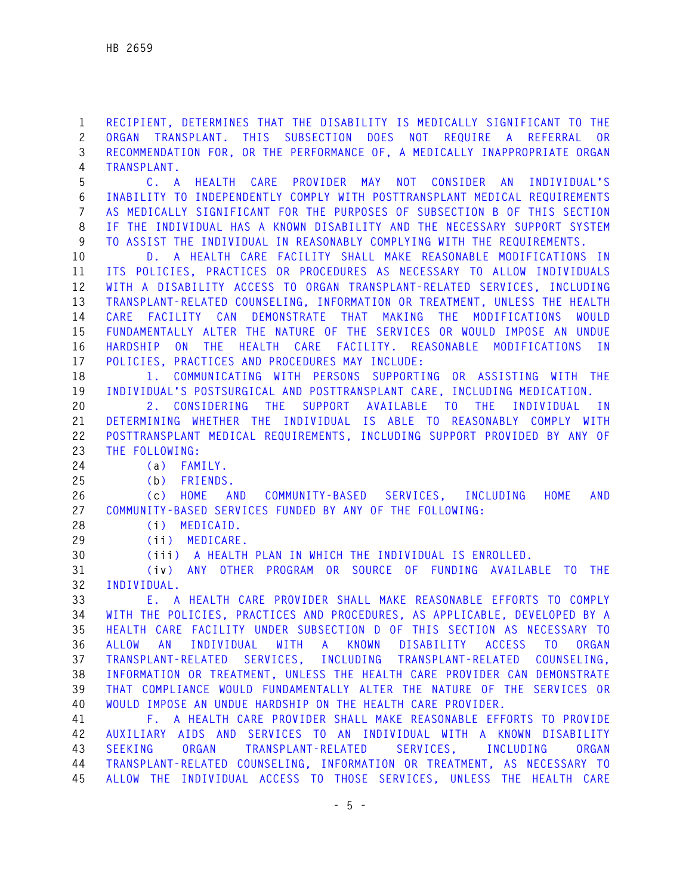**1 RECIPIENT, DETERMINES THAT THE DISABILITY IS MEDICALLY SIGNIFICANT TO THE 2 ORGAN TRANSPLANT. THIS SUBSECTION DOES NOT REQUIRE A REFERRAL OR 3 RECOMMENDATION FOR, OR THE PERFORMANCE OF, A MEDICALLY INAPPROPRIATE ORGAN 4 TRANSPLANT.** 

**5 C. A HEALTH CARE PROVIDER MAY NOT CONSIDER AN INDIVIDUAL'S 6 INABILITY TO INDEPENDENTLY COMPLY WITH POSTTRANSPLANT MEDICAL REQUIREMENTS 7 AS MEDICALLY SIGNIFICANT FOR THE PURPOSES OF SUBSECTION B OF THIS SECTION 8 IF THE INDIVIDUAL HAS A KNOWN DISABILITY AND THE NECESSARY SUPPORT SYSTEM 9 TO ASSIST THE INDIVIDUAL IN REASONABLY COMPLYING WITH THE REQUIREMENTS.**

**10 D. A HEALTH CARE FACILITY SHALL MAKE REASONABLE MODIFICATIONS IN 11 ITS POLICIES, PRACTICES OR PROCEDURES AS NECESSARY TO ALLOW INDIVIDUALS 12 WITH A DISABILITY ACCESS TO ORGAN TRANSPLANT-RELATED SERVICES, INCLUDING 13 TRANSPLANT-RELATED COUNSELING, INFORMATION OR TREATMENT, UNLESS THE HEALTH 14 CARE FACILITY CAN DEMONSTRATE THAT MAKING THE MODIFICATIONS WOULD 15 FUNDAMENTALLY ALTER THE NATURE OF THE SERVICES OR WOULD IMPOSE AN UNDUE 16 HARDSHIP ON THE HEALTH CARE FACILITY. REASONABLE MODIFICATIONS IN 17 POLICIES, PRACTICES AND PROCEDURES MAY INCLUDE:** 

**18 1. COMMUNICATING WITH PERSONS SUPPORTING OR ASSISTING WITH THE 19 INDIVIDUAL'S POSTSURGICAL AND POSTTRANSPLANT CARE, INCLUDING MEDICATION. 20 2. CONSIDERING THE SUPPORT AVAILABLE TO THE INDIVIDUAL IN** 

**21 DETERMINING WHETHER THE INDIVIDUAL IS ABLE TO REASONABLY COMPLY WITH 22 POSTTRANSPLANT MEDICAL REQUIREMENTS, INCLUDING SUPPORT PROVIDED BY ANY OF 23 THE FOLLOWING:** 

**24 (a) FAMILY.** 

**25 (b) FRIENDS.** 

**26 (c) HOME AND COMMUNITY-BASED SERVICES, INCLUDING HOME AND 27 COMMUNITY-BASED SERVICES FUNDED BY ANY OF THE FOLLOWING:** 

**28 (i) MEDICAID.** 

**29 (ii) MEDICARE.** 

**30 (iii) A HEALTH PLAN IN WHICH THE INDIVIDUAL IS ENROLLED.** 

**31 (iv) ANY OTHER PROGRAM OR SOURCE OF FUNDING AVAILABLE TO THE 32 INDIVIDUAL.** 

**33 E. A HEALTH CARE PROVIDER SHALL MAKE REASONABLE EFFORTS TO COMPLY 34 WITH THE POLICIES, PRACTICES AND PROCEDURES, AS APPLICABLE, DEVELOPED BY A 35 HEALTH CARE FACILITY UNDER SUBSECTION D OF THIS SECTION AS NECESSARY TO 36 ALLOW AN INDIVIDUAL WITH A KNOWN DISABILITY ACCESS TO ORGAN 37 TRANSPLANT-RELATED SERVICES, INCLUDING TRANSPLANT-RELATED COUNSELING, 38 INFORMATION OR TREATMENT, UNLESS THE HEALTH CARE PROVIDER CAN DEMONSTRATE 39 THAT COMPLIANCE WOULD FUNDAMENTALLY ALTER THE NATURE OF THE SERVICES OR 40 WOULD IMPOSE AN UNDUE HARDSHIP ON THE HEALTH CARE PROVIDER.** 

**41 F. A HEALTH CARE PROVIDER SHALL MAKE REASONABLE EFFORTS TO PROVIDE 42 AUXILIARY AIDS AND SERVICES TO AN INDIVIDUAL WITH A KNOWN DISABILITY 43 SEEKING ORGAN TRANSPLANT-RELATED SERVICES, INCLUDING ORGAN 44 TRANSPLANT-RELATED COUNSELING, INFORMATION OR TREATMENT, AS NECESSARY TO 45 ALLOW THE INDIVIDUAL ACCESS TO THOSE SERVICES, UNLESS THE HEALTH CARE**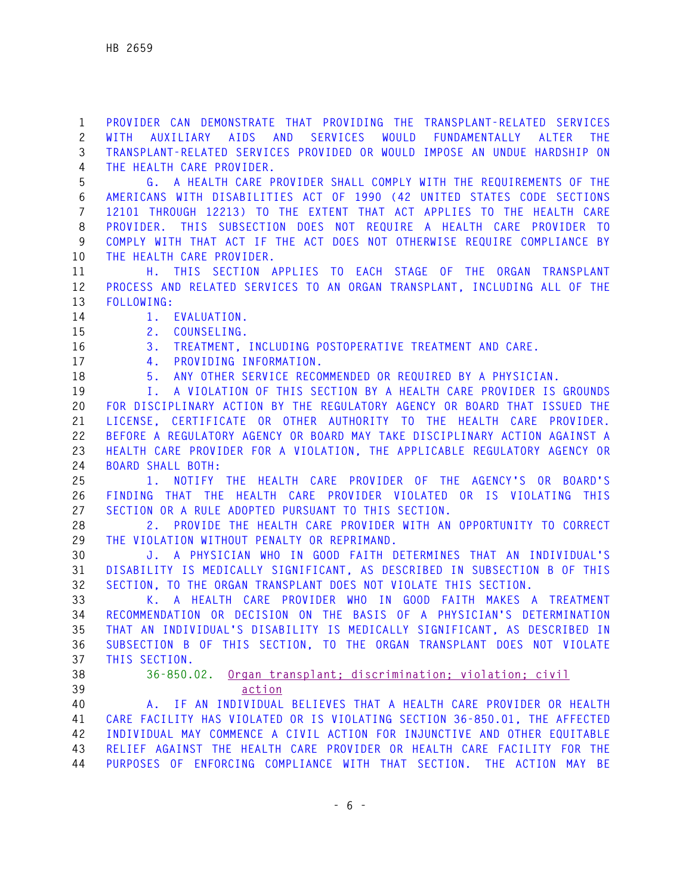**1 PROVIDER CAN DEMONSTRATE THAT PROVIDING THE TRANSPLANT-RELATED SERVICES 2 WITH AUXILIARY AIDS AND SERVICES WOULD FUNDAMENTALLY ALTER THE 3 TRANSPLANT-RELATED SERVICES PROVIDED OR WOULD IMPOSE AN UNDUE HARDSHIP ON 4 THE HEALTH CARE PROVIDER.** 

**5 G. A HEALTH CARE PROVIDER SHALL COMPLY WITH THE REQUIREMENTS OF THE 6 AMERICANS WITH DISABILITIES ACT OF 1990 (42 UNITED STATES CODE SECTIONS 7 12101 THROUGH 12213) TO THE EXTENT THAT ACT APPLIES TO THE HEALTH CARE 8 PROVIDER. THIS SUBSECTION DOES NOT REQUIRE A HEALTH CARE PROVIDER TO 9 COMPLY WITH THAT ACT IF THE ACT DOES NOT OTHERWISE REQUIRE COMPLIANCE BY 10 THE HEALTH CARE PROVIDER.** 

- **11 H. THIS SECTION APPLIES TO EACH STAGE OF THE ORGAN TRANSPLANT 12 PROCESS AND RELATED SERVICES TO AN ORGAN TRANSPLANT, INCLUDING ALL OF THE 13 FOLLOWING:**
- **14 1. EVALUATION.**
- **15 2. COUNSELING.**
- **16 3. TREATMENT, INCLUDING POSTOPERATIVE TREATMENT AND CARE.**
- **17 4. PROVIDING INFORMATION.**
- **18 5. ANY OTHER SERVICE RECOMMENDED OR REQUIRED BY A PHYSICIAN.**

**19 I. A VIOLATION OF THIS SECTION BY A HEALTH CARE PROVIDER IS GROUNDS 20 FOR DISCIPLINARY ACTION BY THE REGULATORY AGENCY OR BOARD THAT ISSUED THE 21 LICENSE, CERTIFICATE OR OTHER AUTHORITY TO THE HEALTH CARE PROVIDER. 22 BEFORE A REGULATORY AGENCY OR BOARD MAY TAKE DISCIPLINARY ACTION AGAINST A 23 HEALTH CARE PROVIDER FOR A VIOLATION, THE APPLICABLE REGULATORY AGENCY OR 24 BOARD SHALL BOTH:** 

**25 1. NOTIFY THE HEALTH CARE PROVIDER OF THE AGENCY'S OR BOARD'S 26 FINDING THAT THE HEALTH CARE PROVIDER VIOLATED OR IS VIOLATING THIS 27 SECTION OR A RULE ADOPTED PURSUANT TO THIS SECTION.** 

**28 2. PROVIDE THE HEALTH CARE PROVIDER WITH AN OPPORTUNITY TO CORRECT 29 THE VIOLATION WITHOUT PENALTY OR REPRIMAND.** 

**30 J. A PHYSICIAN WHO IN GOOD FAITH DETERMINES THAT AN INDIVIDUAL'S 31 DISABILITY IS MEDICALLY SIGNIFICANT, AS DESCRIBED IN SUBSECTION B OF THIS 32 SECTION, TO THE ORGAN TRANSPLANT DOES NOT VIOLATE THIS SECTION.** 

**33 K. A HEALTH CARE PROVIDER WHO IN GOOD FAITH MAKES A TREATMENT 34 RECOMMENDATION OR DECISION ON THE BASIS OF A PHYSICIAN'S DETERMINATION 35 THAT AN INDIVIDUAL'S DISABILITY IS MEDICALLY SIGNIFICANT, AS DESCRIBED IN 36 SUBSECTION B OF THIS SECTION, TO THE ORGAN TRANSPLANT DOES NOT VIOLATE 37 THIS SECTION.** 

## **38 36-850.02. Organ transplant; discrimination; violation; civil 39 action**

**40 A. IF AN INDIVIDUAL BELIEVES THAT A HEALTH CARE PROVIDER OR HEALTH 41 CARE FACILITY HAS VIOLATED OR IS VIOLATING SECTION 36-850.01, THE AFFECTED 42 INDIVIDUAL MAY COMMENCE A CIVIL ACTION FOR INJUNCTIVE AND OTHER EQUITABLE 43 RELIEF AGAINST THE HEALTH CARE PROVIDER OR HEALTH CARE FACILITY FOR THE 44 PURPOSES OF ENFORCING COMPLIANCE WITH THAT SECTION. THE ACTION MAY BE**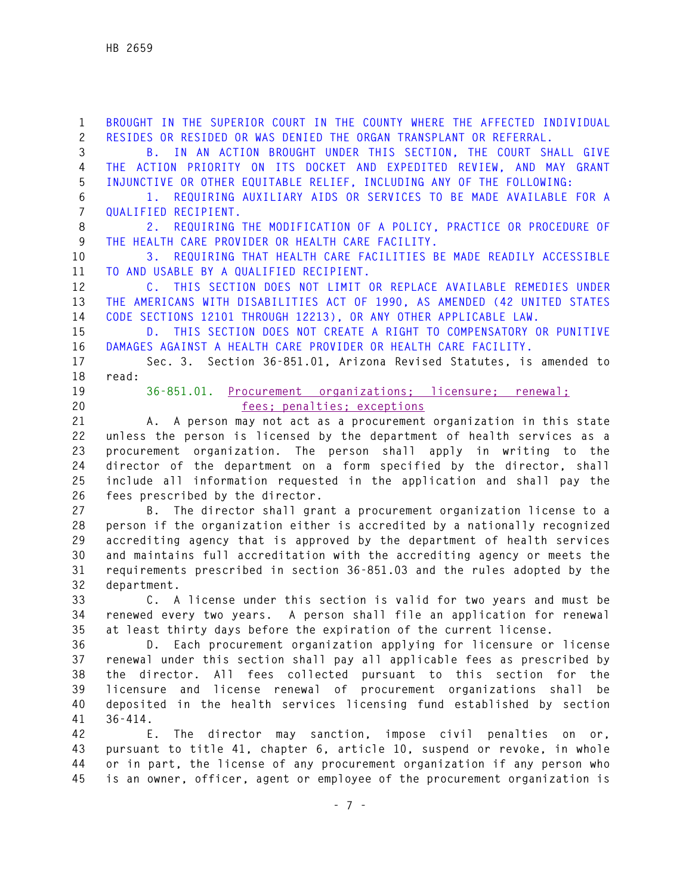**1 BROUGHT IN THE SUPERIOR COURT IN THE COUNTY WHERE THE AFFECTED INDIVIDUAL 2 RESIDES OR RESIDED OR WAS DENIED THE ORGAN TRANSPLANT OR REFERRAL. 3 B. IN AN ACTION BROUGHT UNDER THIS SECTION, THE COURT SHALL GIVE 4 THE ACTION PRIORITY ON ITS DOCKET AND EXPEDITED REVIEW, AND MAY GRANT 5 INJUNCTIVE OR OTHER EQUITABLE RELIEF, INCLUDING ANY OF THE FOLLOWING: 6 1. REQUIRING AUXILIARY AIDS OR SERVICES TO BE MADE AVAILABLE FOR A 7 QUALIFIED RECIPIENT. 8 2. REQUIRING THE MODIFICATION OF A POLICY, PRACTICE OR PROCEDURE OF 9 THE HEALTH CARE PROVIDER OR HEALTH CARE FACILITY. 10 3. REQUIRING THAT HEALTH CARE FACILITIES BE MADE READILY ACCESSIBLE 11 TO AND USABLE BY A QUALIFIED RECIPIENT. 12 C. THIS SECTION DOES NOT LIMIT OR REPLACE AVAILABLE REMEDIES UNDER 13 THE AMERICANS WITH DISABILITIES ACT OF 1990, AS AMENDED (42 UNITED STATES 14 CODE SECTIONS 12101 THROUGH 12213), OR ANY OTHER APPLICABLE LAW. 15 D. THIS SECTION DOES NOT CREATE A RIGHT TO COMPENSATORY OR PUNITIVE 16 DAMAGES AGAINST A HEALTH CARE PROVIDER OR HEALTH CARE FACILITY. 17 Sec. 3. Section 36-851.01, Arizona Revised Statutes, is amended to 18 read: 19 36-851.01. Procurement organizations; licensure; renewal; 20 fees; penalties; exceptions 21 A. A person may not act as a procurement organization in this state 22 unless the person is licensed by the department of health services as a 23 procurement organization. The person shall apply in writing to the 24 director of the department on a form specified by the director, shall 25 include all information requested in the application and shall pay the 26 fees prescribed by the director. 27 B. The director shall grant a procurement organization license to a 28 person if the organization either is accredited by a nationally recognized 29 accrediting agency that is approved by the department of health services 30 and maintains full accreditation with the accrediting agency or meets the 31 requirements prescribed in section 36-851.03 and the rules adopted by the 32 department. 33 C. A license under this section is valid for two years and must be 34 renewed every two years. A person shall file an application for renewal 35 at least thirty days before the expiration of the current license. 36 D. Each procurement organization applying for licensure or license 37 renewal under this section shall pay all applicable fees as prescribed by 38 the director. All fees collected pursuant to this section for the 39 licensure and license renewal of procurement organizations shall be 40 deposited in the health services licensing fund established by section 41 36-414. 42 E. The director may sanction, impose civil penalties on or, 43 pursuant to title 41, chapter 6, article 10, suspend or revoke, in whole** 

**44 or in part, the license of any procurement organization if any person who 45 is an owner, officer, agent or employee of the procurement organization is**